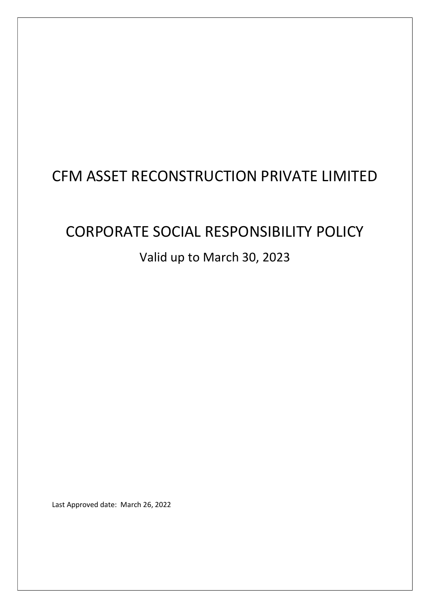# CFM ASSET RECONSTRUCTION PRIVATE LIMITED

# CORPORATE SOCIAL RESPONSIBILITY POLICY Valid up to March 30, 2023

Last Approved date: March 26, 2022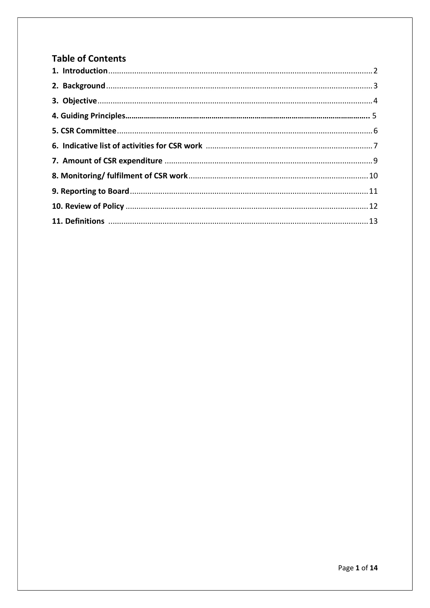# **Table of Contents**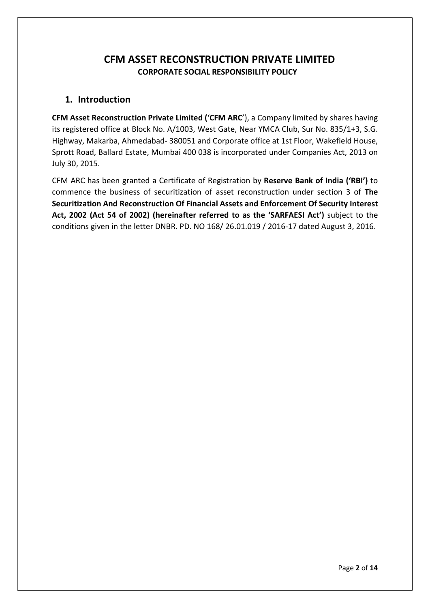# CFM ASSET RECONSTRUCTION PRIVATE LIMITED CORPORATE SOCIAL RESPONSIBILITY POLICY

#### 1. Introduction

CFM Asset Reconstruction Private Limited ('CFM ARC'), a Company limited by shares having its registered office at Block No. A/1003, West Gate, Near YMCA Club, Sur No. 835/1+3, S.G. Highway, Makarba, Ahmedabad- 380051 and Corporate office at 1st Floor, Wakefield House, Sprott Road, Ballard Estate, Mumbai 400 038 is incorporated under Companies Act, 2013 on July 30, 2015.

CFM ARC has been granted a Certificate of Registration by Reserve Bank of India ('RBI') to commence the business of securitization of asset reconstruction under section 3 of The Securitization And Reconstruction Of Financial Assets and Enforcement Of Security Interest Act, 2002 (Act 54 of 2002) (hereinafter referred to as the 'SARFAESI Act') subject to the conditions given in the letter DNBR. PD. NO 168/ 26.01.019 / 2016-17 dated August 3, 2016.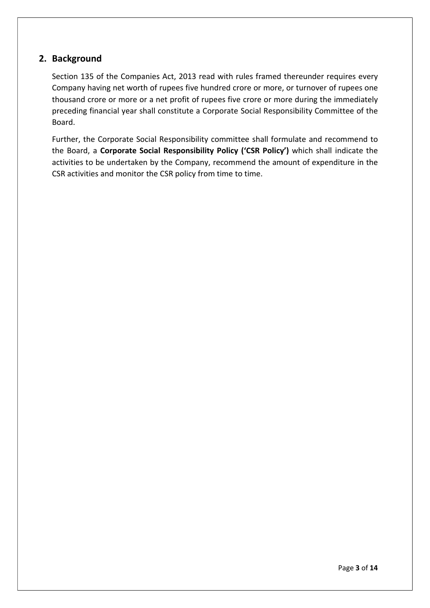#### 2. Background

Section 135 of the Companies Act, 2013 read with rules framed thereunder requires every Company having net worth of rupees five hundred crore or more, or turnover of rupees one thousand crore or more or a net profit of rupees five crore or more during the immediately preceding financial year shall constitute a Corporate Social Responsibility Committee of the Board.

Further, the Corporate Social Responsibility committee shall formulate and recommend to the Board, a Corporate Social Responsibility Policy ('CSR Policy') which shall indicate the activities to be undertaken by the Company, recommend the amount of expenditure in the CSR activities and monitor the CSR policy from time to time.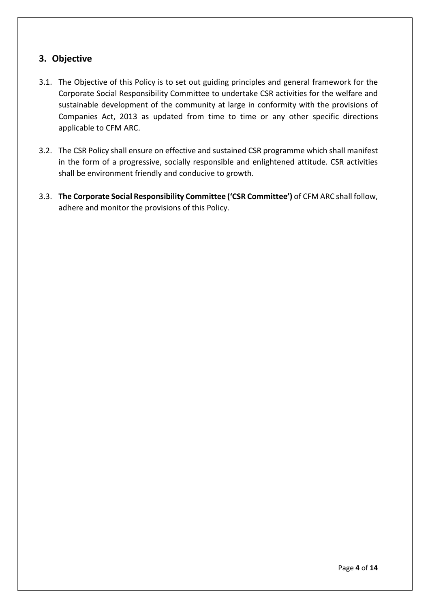## 3. Objective

- 3.1. The Objective of this Policy is to set out guiding principles and general framework for the Corporate Social Responsibility Committee to undertake CSR activities for the welfare and sustainable development of the community at large in conformity with the provisions of Companies Act, 2013 as updated from time to time or any other specific directions applicable to CFM ARC.
- 3.2. The CSR Policy shall ensure on effective and sustained CSR programme which shall manifest in the form of a progressive, socially responsible and enlightened attitude. CSR activities shall be environment friendly and conducive to growth.
- 3.3. The Corporate Social Responsibility Committee ('CSR Committee') of CFM ARC shall follow, adhere and monitor the provisions of this Policy.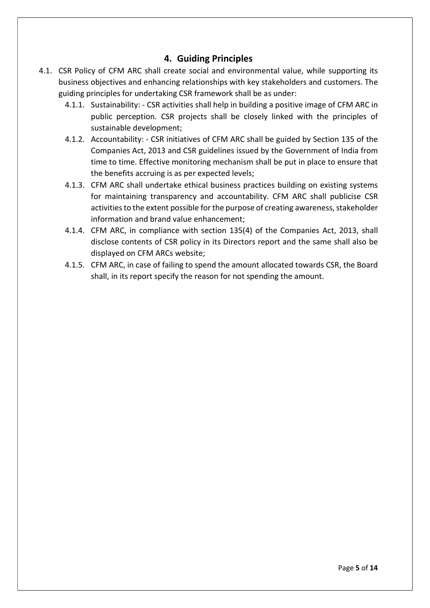#### 4. Guiding Principles

- 4.1. CSR Policy of CFM ARC shall create social and environmental value, while supporting its business objectives and enhancing relationships with key stakeholders and customers. The guiding principles for undertaking CSR framework shall be as under:
	- 4.1.1. Sustainability: CSR activities shall help in building a positive image of CFM ARC in public perception. CSR projects shall be closely linked with the principles of sustainable development;
	- 4.1.2. Accountability: CSR initiatives of CFM ARC shall be guided by Section 135 of the Companies Act, 2013 and CSR guidelines issued by the Government of India from time to time. Effective monitoring mechanism shall be put in place to ensure that the benefits accruing is as per expected levels;
	- 4.1.3. CFM ARC shall undertake ethical business practices building on existing systems for maintaining transparency and accountability. CFM ARC shall publicise CSR activities to the extent possible for the purpose of creating awareness, stakeholder information and brand value enhancement;
	- 4.1.4. CFM ARC, in compliance with section 135(4) of the Companies Act, 2013, shall disclose contents of CSR policy in its Directors report and the same shall also be displayed on CFM ARCs website;
	- 4.1.5. CFM ARC, in case of failing to spend the amount allocated towards CSR, the Board shall, in its report specify the reason for not spending the amount.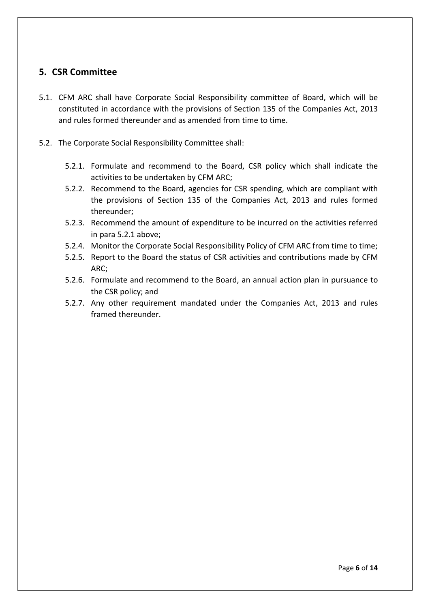#### 5. CSR Committee

- 5.1. CFM ARC shall have Corporate Social Responsibility committee of Board, which will be constituted in accordance with the provisions of Section 135 of the Companies Act, 2013 and rules formed thereunder and as amended from time to time.
- 5.2. The Corporate Social Responsibility Committee shall:
	- 5.2.1. Formulate and recommend to the Board, CSR policy which shall indicate the activities to be undertaken by CFM ARC;
	- 5.2.2. Recommend to the Board, agencies for CSR spending, which are compliant with the provisions of Section 135 of the Companies Act, 2013 and rules formed thereunder;
	- 5.2.3. Recommend the amount of expenditure to be incurred on the activities referred in para 5.2.1 above;
	- 5.2.4. Monitor the Corporate Social Responsibility Policy of CFM ARC from time to time;
	- 5.2.5. Report to the Board the status of CSR activities and contributions made by CFM ARC;
	- 5.2.6. Formulate and recommend to the Board, an annual action plan in pursuance to the CSR policy; and
	- 5.2.7. Any other requirement mandated under the Companies Act, 2013 and rules framed thereunder.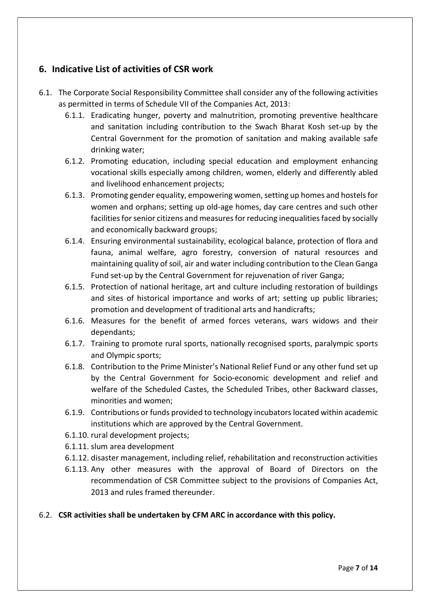#### 6. Indicative List of activities of CSR work

- 6.1. The Corporate Social Responsibility Committee shall consider any of the following activities as permitted in terms of Schedule VII of the Companies Act, 2013:
	- 6.1.1. Eradicating hunger, poverty and malnutrition, promoting preventive healthcare and sanitation including contribution to the Swach Bharat Kosh set-up by the Central Government for the promotion of sanitation and making available safe drinking water;
	- 6.1.2. Promoting education, including special education and employment enhancing vocational skills especially among children, women, elderly and differently abled and livelihood enhancement projects;
	- 6.1.3. Promoting gender equality, empowering women, setting up homes and hostels for women and orphans; setting up old-age homes, day care centres and such other facilities for senior citizens and measures for reducing inequalities faced by socially and economically backward groups;
	- 6.1.4. Ensuring environmental sustainability, ecological balance, protection of flora and fauna, animal welfare, agro forestry, conversion of natural resources and maintaining quality of soil, air and water including contribution to the Clean Ganga Fund set-up by the Central Government for rejuvenation of river Ganga;
	- 6.1.5. Protection of national heritage, art and culture including restoration of buildings and sites of historical importance and works of art; setting up public libraries; promotion and development of traditional arts and handicrafts;
	- 6.1.6. Measures for the benefit of armed forces veterans, wars widows and their dependants;
	- 6.1.7. Training to promote rural sports, nationally recognised sports, paralympic sports and Olympic sports;
	- 6.1.8. Contribution to the Prime Minister's National Relief Fund or any other fund set up by the Central Government for Socio-economic development and relief and welfare of the Scheduled Castes, the Scheduled Tribes, other Backward classes, minorities and women;
	- 6.1.9. Contributions or funds provided to technology incubators located within academic institutions which are approved by the Central Government.
	- 6.1.10. rural development projects;
	- 6.1.11. slum area development
	- 6.1.12. disaster management, including relief, rehabilitation and reconstruction activities
	- 6.1.13. Any other measures with the approval of Board of Directors on the recommendation of CSR Committee subject to the provisions of Companies Act, 2013 and rules framed thereunder.

#### 6.2. CSR activities shall be undertaken by CFM ARC in accordance with this policy.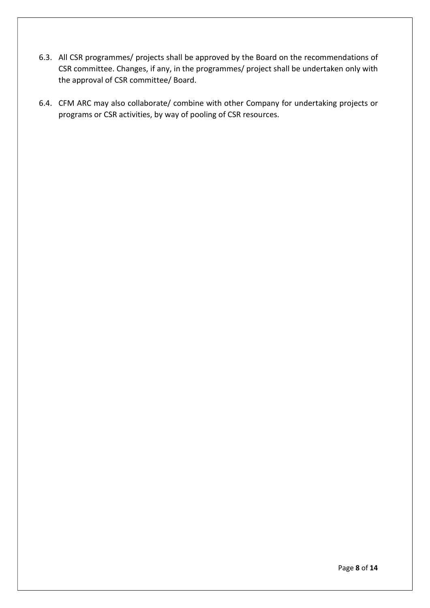- 6.3. All CSR programmes/ projects shall be approved by the Board on the recommendations of CSR committee. Changes, if any, in the programmes/ project shall be undertaken only with the approval of CSR committee/ Board.
- 6.4. CFM ARC may also collaborate/ combine with other Company for undertaking projects or programs or CSR activities, by way of pooling of CSR resources.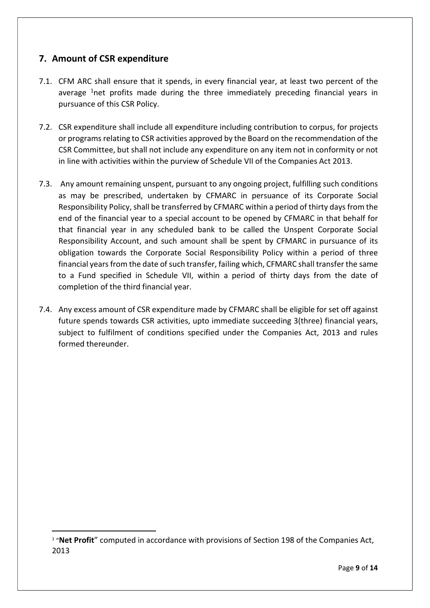## 7. Amount of CSR expenditure

- 7.1. CFM ARC shall ensure that it spends, in every financial year, at least two percent of the average  $1$ net profits made during the three immediately preceding financial years in pursuance of this CSR Policy.
- 7.2. CSR expenditure shall include all expenditure including contribution to corpus, for projects or programs relating to CSR activities approved by the Board on the recommendation of the CSR Committee, but shall not include any expenditure on any item not in conformity or not in line with activities within the purview of Schedule VII of the Companies Act 2013.
- 7.3. Any amount remaining unspent, pursuant to any ongoing project, fulfilling such conditions as may be prescribed, undertaken by CFMARC in persuance of its Corporate Social Responsibility Policy, shall be transferred by CFMARC within a period of thirty days from the end of the financial year to a special account to be opened by CFMARC in that behalf for that financial year in any scheduled bank to be called the Unspent Corporate Social Responsibility Account, and such amount shall be spent by CFMARC in pursuance of its obligation towards the Corporate Social Responsibility Policy within a period of three financial years from the date of such transfer, failing which, CFMARC shall transfer the same to a Fund specified in Schedule VII, within a period of thirty days from the date of completion of the third financial year.
- 7.4. Any excess amount of CSR expenditure made by CFMARC shall be eligible for set off against future spends towards CSR activities, upto immediate succeeding 3(three) financial years, subject to fulfilment of conditions specified under the Companies Act, 2013 and rules formed thereunder.

<sup>&</sup>lt;sup>1</sup> "Net Profit" computed in accordance with provisions of Section 198 of the Companies Act, 2013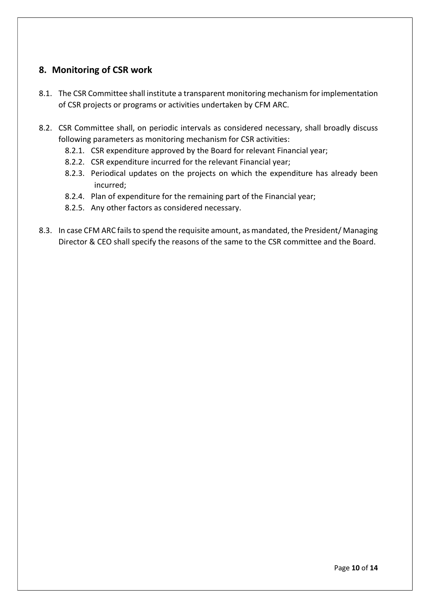#### 8. Monitoring of CSR work

- 8.1. The CSR Committee shall institute a transparent monitoring mechanism for implementation of CSR projects or programs or activities undertaken by CFM ARC.
- 8.2. CSR Committee shall, on periodic intervals as considered necessary, shall broadly discuss following parameters as monitoring mechanism for CSR activities:
	- 8.2.1. CSR expenditure approved by the Board for relevant Financial year;
	- 8.2.2. CSR expenditure incurred for the relevant Financial year;
	- 8.2.3. Periodical updates on the projects on which the expenditure has already been incurred;
	- 8.2.4. Plan of expenditure for the remaining part of the Financial year;
	- 8.2.5. Any other factors as considered necessary.
- 8.3. In case CFM ARC fails to spend the requisite amount, as mandated, the President/ Managing Director & CEO shall specify the reasons of the same to the CSR committee and the Board.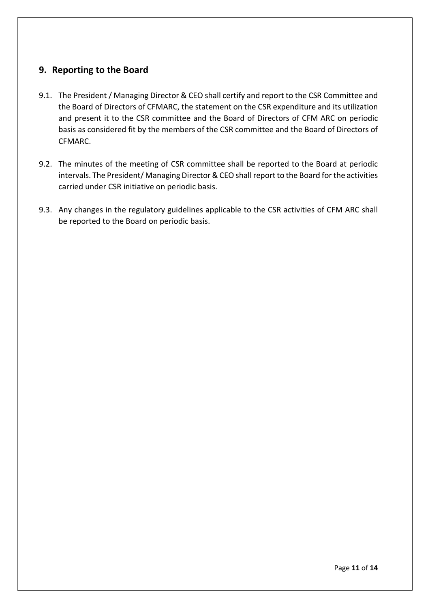#### 9. Reporting to the Board

- 9.1. The President / Managing Director & CEO shall certify and report to the CSR Committee and the Board of Directors of CFMARC, the statement on the CSR expenditure and its utilization and present it to the CSR committee and the Board of Directors of CFM ARC on periodic basis as considered fit by the members of the CSR committee and the Board of Directors of CFMARC.
- 9.2. The minutes of the meeting of CSR committee shall be reported to the Board at periodic intervals. The President/ Managing Director & CEO shall report to the Board for the activities carried under CSR initiative on periodic basis.
- 9.3. Any changes in the regulatory guidelines applicable to the CSR activities of CFM ARC shall be reported to the Board on periodic basis.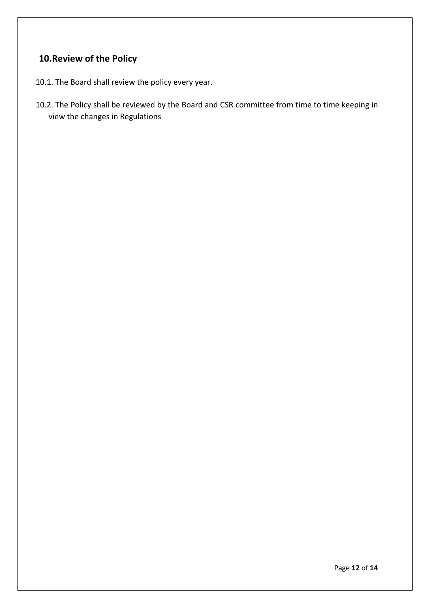# 10.Review of the Policy

- 10.1. The Board shall review the policy every year.
- 10.2. The Policy shall be reviewed by the Board and CSR committee from time to time keeping in view the changes in Regulations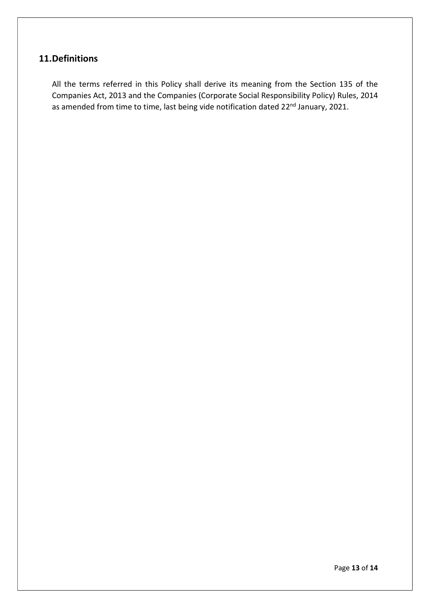# 11.Definitions

All the terms referred in this Policy shall derive its meaning from the Section 135 of the Companies Act, 2013 and the Companies (Corporate Social Responsibility Policy) Rules, 2014 as amended from time to time, last being vide notification dated 22<sup>nd</sup> January, 2021.